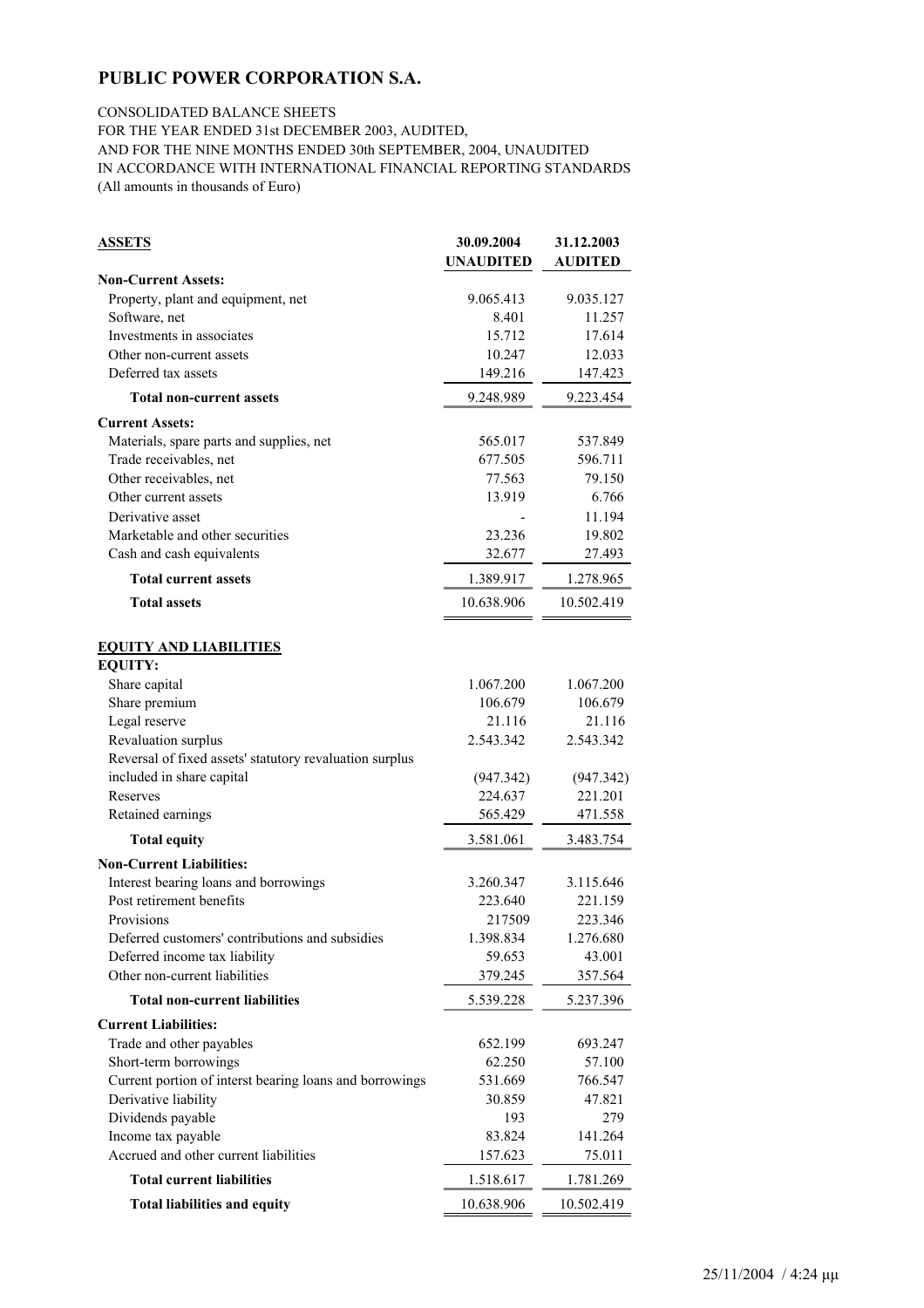### CONSOLIDATED BALANCE SHEETS

FOR THE YEAR ENDED 31st DECEMBER 2003, AUDITED,

AND FOR THE NINE MONTHS ENDED 30th SEPTEMBER, 2004, UNAUDITED

IN ACCORDANCE WITH INTERNATIONAL FINANCIAL REPORTING STANDARDS (All amounts in thousands of Euro)

| <b>ASSETS</b>                                           | 30.09.2004       | 31.12.2003     |
|---------------------------------------------------------|------------------|----------------|
|                                                         | <b>UNAUDITED</b> | <b>AUDITED</b> |
| <b>Non-Current Assets:</b>                              |                  |                |
| Property, plant and equipment, net                      | 9.065.413        | 9.035.127      |
| Software, net                                           | 8.401            | 11.257         |
| Investments in associates                               | 15.712           | 17.614         |
| Other non-current assets                                | 10.247           | 12.033         |
| Deferred tax assets                                     | 149.216          | 147.423        |
| <b>Total non-current assets</b>                         | 9.248.989        | 9.223.454      |
| <b>Current Assets:</b>                                  |                  |                |
| Materials, spare parts and supplies, net                | 565.017          | 537.849        |
| Trade receivables, net                                  | 677.505          | 596.711        |
| Other receivables, net                                  | 77.563           | 79.150         |
| Other current assets                                    | 13.919           | 6.766          |
| Derivative asset                                        |                  | 11.194         |
| Marketable and other securities                         | 23.236           | 19.802         |
| Cash and cash equivalents                               | 32.677           | 27.493         |
| <b>Total current assets</b>                             | 1.389.917        | 1.278.965      |
| <b>Total assets</b>                                     | 10.638.906       | 10.502.419     |
| <b>EQUITY AND LIABILITIES</b>                           |                  |                |
| <b>EQUITY:</b>                                          |                  |                |
| Share capital                                           | 1.067.200        | 1.067.200      |
| Share premium                                           | 106.679          | 106.679        |
| Legal reserve                                           | 21.116           | 21.116         |
| Revaluation surplus                                     | 2.543.342        | 2.543.342      |
| Reversal of fixed assets' statutory revaluation surplus |                  |                |
| included in share capital                               | (947.342)        | (947.342)      |
| Reserves                                                | 224.637          | 221.201        |
| Retained earnings                                       | 565.429          | 471.558        |
| <b>Total equity</b>                                     | 3.581.061        | 3.483.754      |
| <b>Non-Current Liabilities:</b>                         |                  |                |
| Interest bearing loans and borrowings                   | 3.260.347        | 3.115.646      |
| Post retirement benefits                                | 223.640          | 221.159        |
| Provisions                                              | 217509           | 223.346        |
| Deferred customers' contributions and subsidies         | 1.398.834        | 1.276.680      |
| Deferred income tax liability                           | 59.653           | 43.001         |
| Other non-current liabilities                           | 379.245          | 357.564        |
| <b>Total non-current liabilities</b>                    | 5.539.228        | 5.237.396      |
| <b>Current Liabilities:</b>                             |                  |                |
| Trade and other payables                                | 652.199          | 693.247        |
| Short-term borrowings                                   | 62.250           | 57.100         |
| Current portion of interst bearing loans and borrowings | 531.669          | 766.547        |
| Derivative liability                                    | 30.859           | 47.821         |
| Dividends payable                                       | 193              | 279            |
| Income tax payable                                      | 83.824           | 141.264        |
| Accrued and other current liabilities                   | 157.623          | 75.011         |
| <b>Total current liabilities</b>                        | 1.518.617        | 1.781.269      |
| <b>Total liabilities and equity</b>                     | 10.638.906       | 10.502.419     |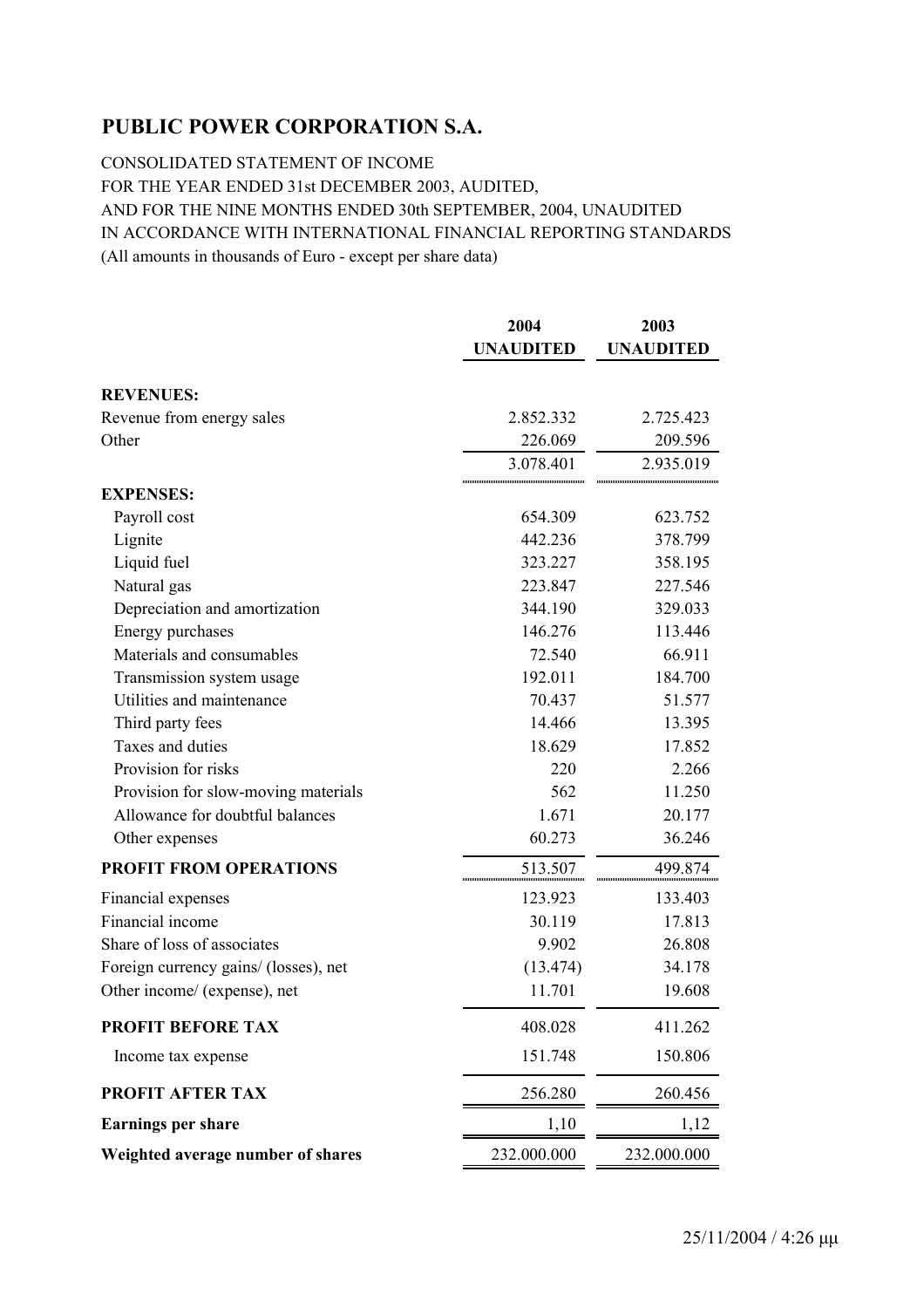CONSOLIDATED STATEMENT OF INCOME FOR THE YEAR ENDED 31st DECEMBER 2003, AUDITED, AND FOR THE NINE MONTHS ENDED 30th SEPTEMBER, 2004, UNAUDITED IN ACCORDANCE WITH INTERNATIONAL FINANCIAL REPORTING STANDARDS (All amounts in thousands of Euro - except per share data)

|                                       | 2004<br><b>UNAUDITED</b> | 2003<br><b>UNAUDITED</b> |  |  |
|---------------------------------------|--------------------------|--------------------------|--|--|
|                                       |                          |                          |  |  |
| <b>REVENUES:</b>                      |                          |                          |  |  |
| Revenue from energy sales             | 2.852.332                | 2.725.423                |  |  |
| Other                                 | 226.069                  | 209.596                  |  |  |
|                                       | 3.078.401                | 2.935.019                |  |  |
| <b>EXPENSES:</b>                      |                          |                          |  |  |
| Payroll cost                          | 654.309                  | 623.752                  |  |  |
| Lignite                               | 442.236                  | 378.799                  |  |  |
| Liquid fuel                           | 323.227                  | 358.195                  |  |  |
| Natural gas                           | 223.847                  | 227.546                  |  |  |
| Depreciation and amortization         | 344.190                  | 329.033                  |  |  |
| Energy purchases                      | 146.276                  | 113.446                  |  |  |
| Materials and consumables             | 72.540                   | 66.911                   |  |  |
| Transmission system usage             | 192.011                  | 184.700                  |  |  |
| Utilities and maintenance             | 70.437                   | 51.577                   |  |  |
| Third party fees                      | 14.466                   | 13.395                   |  |  |
| Taxes and duties                      | 18.629                   | 17.852                   |  |  |
| Provision for risks                   | 220                      | 2.266                    |  |  |
| Provision for slow-moving materials   | 562                      | 11.250                   |  |  |
| Allowance for doubtful balances       | 1.671                    | 20.177                   |  |  |
| Other expenses                        | 60.273                   | 36.246                   |  |  |
| <b>PROFIT FROM OPERATIONS</b>         | 513.507                  | 499.874                  |  |  |
| Financial expenses                    | 123.923                  | 133.403                  |  |  |
| Financial income                      | 30.119                   | 17.813                   |  |  |
| Share of loss of associates           | 9.902                    | 26.808                   |  |  |
| Foreign currency gains/ (losses), net | (13.474)                 | 34.178                   |  |  |
| Other income/ (expense), net          | 11.701                   | 19.608                   |  |  |
| <b>PROFIT BEFORE TAX</b>              | 408.028                  | 411.262                  |  |  |
| Income tax expense                    | 151.748                  | 150.806                  |  |  |
| PROFIT AFTER TAX                      | 256.280                  | 260.456                  |  |  |
| <b>Earnings per share</b>             | 1,10                     | 1,12                     |  |  |
| Weighted average number of shares     | 232.000.000              | 232.000.000              |  |  |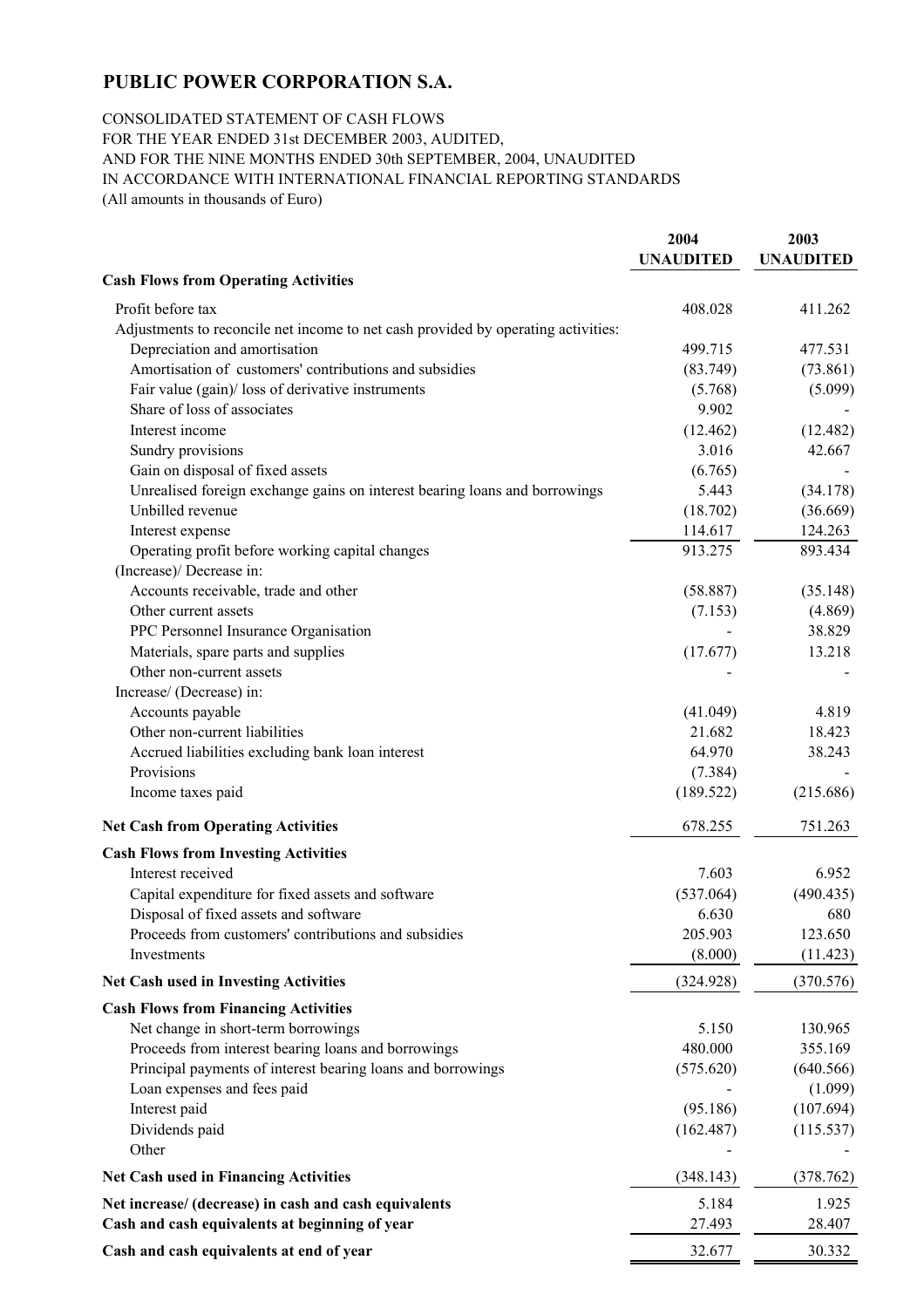### CONSOLIDATED STATEMENT OF CASH FLOWS

FOR THE YEAR ENDED 31st DECEMBER 2003, AUDITED, AND FOR THE NINE MONTHS ENDED 30th SEPTEMBER, 2004, UNAUDITED IN ACCORDANCE WITH INTERNATIONAL FINANCIAL REPORTING STANDARDS (All amounts in thousands of Euro)

**2004 2003 UNAUDITED UNAUDITED Cash Flows from Operating Activities** Profit before tax 408.028 411.262 Adjustments to reconcile net income to net cash provided by operating activities: Depreciation and amortisation 499.715 477.531 Amortisation of customers' contributions and subsidies (83.749) (73.861) Fair value (gain)/ loss of derivative instruments (5.768) (5.099) Share of loss of associates 9.902 Interest income (12.462) (12.482) Sundry provisions 3.016 42.667 Gain on disposal of fixed assets (6.765) Unrealised foreign exchange gains on interest bearing loans and borrowings  $5.443$  (34.178) Unbilled revenue (18.702) (36.669) Interest expense 114.617 124.263 Operating profit before working capital changes 913.275 893.434 (Increase)/ Decrease in: Accounts receivable, trade and other (58.887) (35.148) Other current assets (7.153) (4.869) PPC Personnel Insurance Organisation - 38.829 Materials, spare parts and supplies (17.677) 13.218 Other non-current assets Increase/ (Decrease) in: Accounts payable  $(41.049)$   $4.819$ Other non-current liabilities 21.682 18.423 Accrued liabilities excluding bank loan interest 64.970 38.243 Provisions (7.384) From the contract of the contract of the contract of the contract of the contract of the contract of the contract of the contract of the contract of the contract of the contract of the contract of the co Income taxes paid (189.522) (215.686) **Net Cash from Operating Activities** 678.255 751.263 **Cash Flows from Investing Activities** Interest received 6.952 Capital expenditure for fixed assets and software (537.064) (490.435) Disposal of fixed assets and software 6.630 680 Proceeds from customers' contributions and subsidies 205.903 123.650 Investments  $(8.000)$   $(11.423)$ **Net Cash used in Investing Activities** (324.928) (370.576) **Cash Flows from Financing Activities** Net change in short-term borrowings 5.150 130.965 Proceeds from interest bearing loans and borrowings 480.000 355.169 Principal payments of interest bearing loans and borrowings (575.620) (640.566) Loan expenses and fees paid  $(1.099)$ Interest paid (95.186) (107.694) Dividends paid (162.487) (115.537) Other **contract the contract of the contract of the contract of the contract of the contract of the contract of the contract of the contract of the contract of the contract of the contract of the contract of the contract o Net Cash used in Financing Activities** (348.143) (378.762) **Net increase/ (decrease) in cash and cash equivalents**  5.184 1.925 **Cash and cash equivalents at beginning of year** 27.493 28.407 **Cash and cash equivalents at end of year** 32.677 30.332